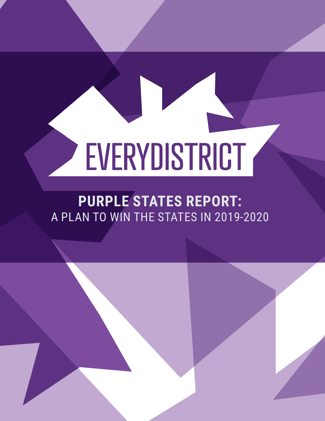# EVERYDISTRICT

# **PURPLE STATES REPORT:** A PLAN TO WIN THE STATES IN 2019-2020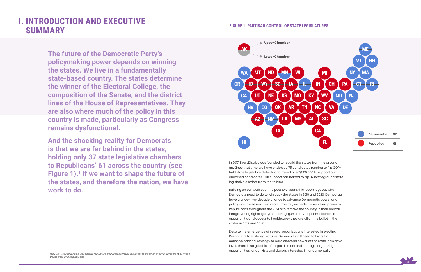

# **I. INTRODUCTION AND EXECUTIVE SUMMARY**

**The future of the Democratic Party's policymaking power depends on winning the states. We live in a fundamentally state-based country. The states determine the winner of the Electoral College, the composition of the Senate, and the district lines of the House of Representatives. They are also where much of the policy in this country is made, particularly as Congress remains dysfunctional.** 

**And the shocking reality for Democrats is that we are far behind in the states, holding only 37 state legislative chambers to Republicans' 61 across the country (see**  Figure 1).<sup>1</sup> If we want to shape the future of **the states, and therefore the nation, we have work to do.**

In 2017, EveryDistrict was founded to rebuild the states from the ground up. Since that time, we have endorsed 75 candidates running to flip GOPheld state legislative districts and raised over \$500,000 to support our endorsed candidates. Our support has helped to flip 37 battleground state legislative districts from red to blue.

Building on our work over the past two years, this report lays out what Democrats need to do to win back the states in 2019 and 2020. Democrats have a once-in-a-decade chance to advance Democratic power and policy over these next two years. If we fail, we cede tremendous power to Republicans throughout the 2020s to remake the country in their radical image. Voting rights, gerrymandering, gun safety, equality, economic opportunity, and access to healthcare—they are all on the ballot in the states in 2019 and 2020.

Despite the emergence of several organizations interested in electing Democrats to state legislatures, Democrats still need to lay out a cohesive national strategy to build electoral power at the state legislative level. There is no good list of target districts and strategic organizing opportunities for activists and donors interested in fundamentally

#### **FIGURE 1. PARTISAN CONTROL OF STATE LEGISLATURES**



*1 Why 98? Nebraska has a unicameral legislature and Alaska's House is subject to a power-sharing agreement between Democrats and Republicans.*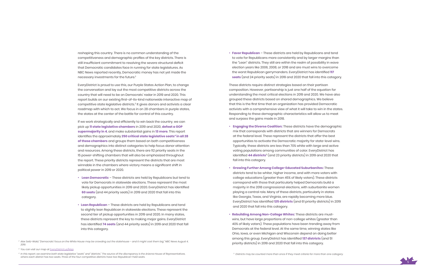

*2 Alex Seitz-Wald, "Democrats' focus on the White House may be crowding out the statehouse – and it might cost them big," NBC News August 4, 2019.*

*4 In this report, we examine both state legislative "seats" and "districts." The source of the discrepancy is the Arizona House of Representatives, where each district has two seats. Three of the four competitive districts have two Republican-held seats.*

reshaping this country. There is no common understanding of the competitiveness and demographic profiles of the key districts. There is still insufficient commitment to resolving the severe structural deficit that Democratic candidates face in running for state legislatures. As NBC News reported recently, Democratic money has not yet made the necessary investments for the future. 2

EveryDistrict is proud to use this, our Purple States Action Plan, to change the conversation and lay out the most competitive districts across the country that will need to be on Democrats' radar in 2019 and 2020. This report builds on our existing first-of-its-kind nationwide interactive map of competitive state legislative districts. <sup>3</sup> It gives donors and activists a clear roadmap with which to act. We focus in on 28 chambers in purple states, the states at the center of the battle for control of this country.

If we work strategically and efficiently to win back the country, we can pick up **11 state legislative chambers** in 2019 and 2020, **defeat a GOP supermajority in 4**, and make substantial gains in **13 more**. This report identifies the approximately **250 critical state legislative seats 4 in all 28 of these chambers** and groups them based on both competitiveness and demographics into distinct categories to help focus donor attention and resources. Among these districts, there are 112 priority seats in the 15 power-shifting chambers that will also be emphasized throughout the report. These priority districts represent the districts that are most winnable in the chambers where victory means a significant shift in political power in 2019 or 2020. • **Lean Democratic** – These districts are held by Republicans but tend to

- vote for Democrats in statewide elections. These represent the most likely pickup opportunities in 2019 and 2020. EveryDistrict has identified **60 seats** (and 44 priority seats) in 2019 and 2020 that fall into this category.
- **Lean Republican** These districts are held by Republicans and tend to slightly lean Republican in statewide elections. These represent the second tier of pickup opportunities in 2019 and 2020. In many states, these districts represent the key to making major gains. EveryDistrict has identified **74 seats** (and 44 priority seats) in 2019 and 2020 that fall into this category.

• **Favor Republican** – These districts are held by Republicans and tend to vote for Republicans more consistently and by larger margins than the "Lean" districts. They still are within the realm of possibility in wave election years like 2006, 2008, or 2018 and are must wins to overcome the worst Republican gerrymanders. EveryDistrict has identified **117 seats** (and 24 priority seats) in 2019 and 2020 that fall into this category.

These districts require distinct strategies based on their partisan composition. However, partisanship is just one half of the equation for understanding the most critical elections in 2019 and 2020. We have also grouped these districts based on shared demographics. We believe that this is the first time that an organization has provided Democratic activists with a comprehensive view of what it will take to win in the states. Responding to these demographic characteristics will allow us to meet and surpass the gains made in 2018.

- **Engaging the Diverse Coalition:** These districts have the demographic mix that corresponds with districts that are winners for Democrats at the federal level. These represent the districts that offer the best opportunities to activate the Democratic majority for state-level wins. Typically, these districts are less than 70% white with large and active voting populations among communities of color. EveryDistrict has identified **44 districts** <sup>5</sup> (and 23 priority districts) in 2019 and 2020 that fall into this category.
- **Growing Further Among College-Educated Suburbanites:** These districts tend to be whiter, higher income, and with more voters with college educations (greater than 45% of likely voters). These districts correspond with those that particularly helped Democrats build a majority in the 2018 congressional elections, with suburbanite women playing a central role. Many of these districts, particularly in states like Georgia, Texas, and Virginia, are rapidly becoming more blue. EveryDistrict has identified **125 districts** (and 61 priority districts) in 2019 and 2020 that fall into this category.
- **Rebuilding Among Non-College Whites:** These districts are mustwins, but have large proportions of non-college whites (greater than 40% of likely voters). These populations have been trending away from Democrats at the federal level. At the same time, winning states like Ohio, Iowa, or even Michigan and Wisconsin depend on doing better among this group. EveryDistrict has identified **137 districts** (and 51 priority districts) in 2019 and 2020 that fall into this category.

*<sup>3</sup> You can visit our map at EveryDistrict.us/Map .*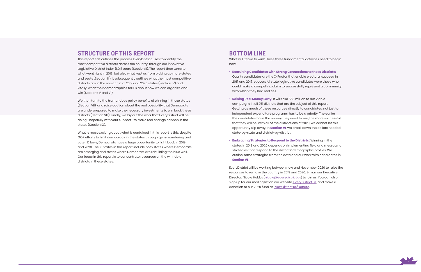

### **STRUCTURE OF THIS REPORT**

This report first outlines the process EveryDistrict uses to identify the most competitive districts across the country, through our innovative Legislative District Index (LDI) score (Section II). The report then turns to what went right in 2018, but also what kept us from picking up more states and seats (Section III). It subsequently outlines what the most competitive districts are in the most crucial 2019 and 2020 states (Section IV) and, vitally, what their demographics tell us about how we can organize and win (Sections V and VI).

We then turn to the tremendous policy benefits of winning in these states (Section VII), and raise caution about the real possibility that Democrats are underprepared to make the necessary investments to win back these districts (Section VIII). Finally, we lay out the work that EveryDistrict will be doing—hopefully with your support—to make real change happen in the states (Section IX).

What is most exciting about what is contained in this report is this: despite GOP efforts to limit democracy in the states through gerrymandering and voter ID laws, Democrats have a huge opportunity to fight back in 2019 and 2020. The 16 states in this report include both states where Democrats are emerging and states where Democrats are rebuilding the blue wall. Our focus in this report is to concentrate resources on the winnable districts in these states.

### **BOTTOM LINE**

What will it take to win? These three fundamental activities need to begin now:

- **Recruiting Candidates with Strong Connections to these Districts:**  Quality candidates are the X-Factor that enable electoral success. In 2017 and 2018, successful state legislative candidates were those who could make a compelling claim to successfully represent a community with which they had real ties.
- **Raising Real Money Early:** It will take \$58 million to run viable campaigns in all 251 districts that are the subject of this report. Getting as much of these resources directly to candidates, not just to independent expenditure programs, has to be a priority. The earlier the candidates have the money they need to win, the more successful that they will be. With all of the distractions of 2020, we cannot let this opportunity slip away. In **Section VI**, we break down the dollars needed state-by-state and district-by-district.
- **Embracing Strategies to Respond to the Districts:** Winning in the states in 2019 and 2020 depends on implementing field and messaging strategies that respond to the districts' demographic profiles. We outline some strategies from the data and our work with candidates in **Section VI**.

EveryDistrict will be working between now and November 2020 to raise the resources to remake the country in 2019 and 2020. E-mail our Executive Director, Nicole Hobbs (nicole@everydistrict.us) to join us. You can also sign up for our mailing list on our website, EveryDistrict.us, and make a donation to our 2020 fund at EveryDistrict.us/Donate.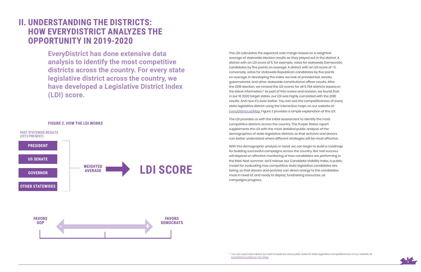

**EveryDistrict has done extensive data analysis to identify the most competitive districts across the country. For every state legislative district across the country, we have developed a Legislative District Index (LDI) score.** 

# **II. UNDERSTANDING THE DISTRICTS: HOW EVERYDISTRICT ANALYZES THE OPPORTUNITY IN 2019-2020**

This LDI calculates the expected vote margin based on a weighted average of statewide election results as they played out in the district. A district with an LDI score of 5, for example, votes for statewide Democratic candidates by five points on average. A district with an LDI score of -5, conversely, votes for statewide Republican candidates by five points on average. In developing the index, we look at presidential, senate, gubernatorial, and other statewide constitutional officer results. After the 2018 election, we revised the LDI scores for all 6,764 districts based on the latest information.<sup>6</sup> As part of this review and revision, we found that in our 16 2020 target states, our LDI was highly correlated with the 2018 results. And now it's even better. You can see the competitiveness of every state legislative district using the interactive maps on our website at EveryDistrict.us/Map. Figure 2 provides a simple explanation of the LDI.

The LDI provides us with the initial assessment to identify the most competitive districts across the country. This Purple States report supplements the LDI with the most detailed public analysis of the demographics of state legislative districts so that activists and donors can better understand where different strategies will be most effective.

With this demographic analysis in hand, we can begin to build a roadmap for building successful campaigns across the country. But real success will depend on effective monitoring of how candidates are performing in the field. Next summer, we'll release our Candidate Viability Index, a public model for evaluating how competitive state legislative candidates are faring, so that donors and activists can direct energy to the candidates most in need of, and ready to deploy, fundraising resources, as campaigns progress.

*6 You can read more about our work to build the best public index for state legislative competitiveness on our website at: EveryDistrict.us/About-Our-Map.*

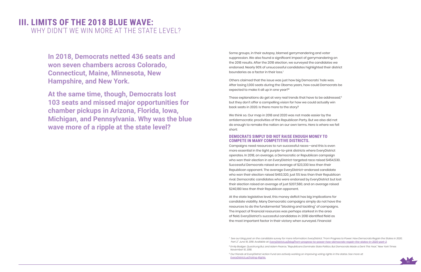

# **III. LIMITS OF THE 2018 BLUE WAVE:**  WHY DIDN'T WE WIN MORE AT THE STATE LEVEL?

Some groups, in their autopsy, blamed gerrymandering and voter suppression. We also found a significant impact of gerrymandering on the 2018 results. After the 2018 election, we surveyed the candidates we endorsed. Nearly 90% of unsuccessful candidates highlighted their district boundaries as a factor in their loss.<sup>7</sup>

<sup>7</sup> See our blog post on the candidate survey for more information: EveryDistrict. "From Progress to Power: How Democrats Regain the States in 2020,

**In 2018, Democrats netted 436 seats and won seven chambers across Colorado, Connecticut, Maine, Minnesota, New Hampshire, and New York.** 

**At the same time, though, Democrats lost 103 seats and missed major opportunities for chamber pickups in Arizona, Florida, Iowa, Michigan, and Pennsylvania. Why was the blue wave more of a ripple at the state level?** 

These explanations do get at very real trends that have to be addressed,<sup>9</sup> but they don't offer a compelling vision for how we could actually win back seats in 2020. Is there more to the story?

Others claimed that the issue was just how big Democrats' hole was. After losing 1,000 seats during the Obama years, how could Democrats be expected to make it all up in one year?8

We think so. Our map in 2018 and 2020 was not made easier by the antidemocratic proclivities of the Republican Party. But we also did not do enough to remake the nation on our own terms. Here is where we fell short:

#### **DEMOCRATS SIMPLY DID NOT RAISE ENOUGH MONEY TO COMPETE IN MANY COMPETITIVE DISTRICTS.**

Campaigns need resources to run successful races—and this is even more essential in the tight purple-to-pink districts where EveryDistrict operates. In 2018, on average, a Democratic or Republican campaign who won their election in an EveryDistrict-targeted race raised \$454,530. Successful Democrats raised an average of \$23,330 less than their Republican opponent. The average EveryDistrict-endorsed candidate who won their election raised \$463,320, just 5% less than their Republican rival. Democratic candidates who were endorsed by EveryDistrict but lost their election raised an average of just \$207,580, and on average raised \$240,180 less than their Republican opponent.

At the state legislative level, this money deficit has big implications for candidate viability. Many Democratic campaigns simply do not have the resources to do the fundamental "blocking and tackling" of campaigns. The impact of financial resources was perhaps starkest in the area of field. EveryDistrict's successful candidates in 2018 identified field as the most important factor in their victory when surveyed. Financial

*Part 2," June 19, 2019. Available at: EveryDistrict.us/blog/from-progress-to-power-how-democrats-regain-the-states-in-2020-part-2.*

*<sup>8</sup> Emily Badger, Quoctrung Bui, and Adam Pearce, "Republicans Dominate State Politics. But Democrats Made a Dent This Year," New York Times November 10, 2018.*

*<sup>9</sup> Our friends at EveryDistrict Action Fund are actively working on improving voting rights in the states. See more at: EveryDistrict.us/Voting-Rights.*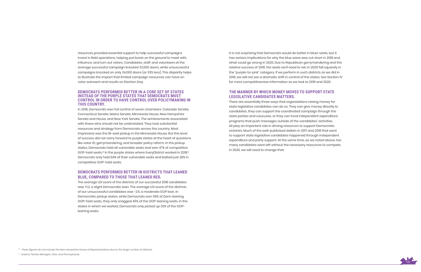

resources provided essential support to help successful campaigns invest in field operations, helping put boots on the ground to meet with, influence, and turn out voters. Candidates, staff, and volunteers at the average successful campaign knocked 32,000 doors, while unsuccessful campaigns knocked on only 24,000 doors (or 33% less). This disparity helps to illustrate the impact that limited campaign resources can have on voter outreach and results on Election Day.

#### **DEMOCRATS PERFORMED BETTER IN A CORE SET OF STATES INSTEAD OF THE PURPLE STATES THAT DEMOCRATS MUST CONTROL IN ORDER TO HAVE CONTROL OVER POLICYMAKING IN THIS COUNTRY.**

In 2018, Democrats won full control of seven chambers: Colorado Senate, Connecticut Senate, Maine Senate, Minnesota House, New Hampshire Senate and House, and New York Senate. The achievements associated with these wins should not be understated. They took substantial resources and strategy from Democrats across the country. Most impressive was the 18-seat pickup in the Minnesota House. But this level of success did not carry forward to purple states at the heart of questions like voter ID, gerrymandering, and broader policy reform. In the pickup states, Democrats held all vulnerable seats and won 47% of competitive GOP-held seats.<sup>10</sup> In the purple states where EveryDistrict worked in 2018,<sup>11</sup> Democrats only held 64% of their vulnerable seats and batted just 29% in competitive GOP-held seats.

#### **DEMOCRATS PERFORMED BETTER IN DISTRICTS THAT LEANED BLUE, COMPARED TO THOSE THAT LEANED RED.**

The average LDI score of the districts of our successful 2018 candidates was +1.2, a slight Democratic lean. The average LDI score of the districts of our unsuccessful candidates was -2.6, a moderate GOP lean. In Democratic pickup states, while Democrats won 58% of Dem-leaning GOP-held seats, they only snagged 45% of the GOP-leaning seats. In the states in which we worked, Democrats only picked up 33% of the GOPleaning seats.

*11 Arizona, Florida, Michigan, Ohio, and Pennsylvania.* 

It is not surprising that Democrats would do better in bluer seats, but it has serious implications for why the blue wave was cut short in 2018 and what could go wrong in 2020. Due to Republican gerrymandering and the relative success of 2018, the seats we'll need to win in 2020 fall squarely in the "purple-to-pink" category. If we perform in such districts as we did in 2018, we will not see a dramatic shift in control of the states. See Section IV for more competitiveness information as we look to 2019 and 2020.

### **THE MANNER BY WHICH MONEY MOVES TO SUPPORT STATE LEGISLATIVE CANDIDATES MATTERS.**

There are essentially three ways that organizations raising money for state legislative candidates can do so. They can give money directly to candidates, they can support the coordinated campaign through the state parties and caucuses, or they can fund independent expenditure programs that push messages outside of the candidates' activities. All play an important role in driving resources to support Democratic victories. Much of the well-publicized dollars in 2017 and 2018 that went to support state legislative candidates happened through independent expenditure and party support. At the same time, as we noted above, too many candidates were left without the necessary resources to compete. In 2020, we will need to change that.

*<sup>10</sup> These figures do not include the New Hampshire House of Representatives due to the large number of districts.*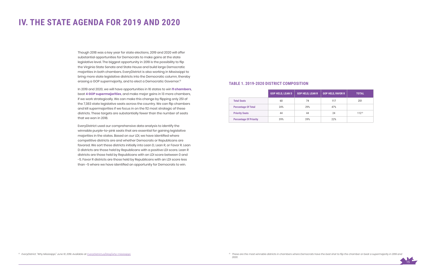

# **IV. THE STATE AGENDA FOR 2019 AND 2020**

Though 2018 was a key year for state elections, 2019 and 2020 will offer substantial opportunities for Democrats to make gains at the state legislative level. The biggest opportunity in 2019 is the possibility to flip the Virginia State Senate and State House and build large Democratic majorities in both chambers. EveryDistrict is also working in Mississippi to bring more state legislative districts into the Democratic column, thereby erasing a GOP supermajority, and to elect a Democratic Governor. 12

In 2019 and 2020, we will have opportunities in 16 states to win **11 chambers**, beat **4 GOP supermajorities**, and make major gains in 13 more chambers, if we work strategically. We can make this change by flipping only 251 of the 7,383 state legislative seats across the country. We can flip chambers and kill supermajorities if we focus in on the 112 most strategic of these districts. These targets are substantially fewer than the number of seats that we won in 2018.

EveryDistrict used our comprehensive data analysis to identify the winnable purple-to-pink seats that are essential for gaining legislative majorities in the states. Based on our LDI, we have identified where competitive districts are and whether Democrats or Republicans are favored. We sort these districts initially into Lean D, Lean R, or Favor R. Lean D districts are those held by Republicans with a positive LDI score. Lean R districts are those held by Republicans with an LDI score between 0 and -5. Favor R districts are those held by Republicans with an LDI score less than -5 where we have identified an opportunity for Democrats to win.

#### **TABLE 1. 2019-2020 DISTRICT COMPOSITION**

|                               | <b>GOP HELD, LEAN D</b> | <b>GOP HELD, LEAN R</b> | <b>GOP HELD, FAVOR R</b> | <b>TOTAL</b> |
|-------------------------------|-------------------------|-------------------------|--------------------------|--------------|
| <b>Total Seats</b>            | 60                      | 74                      | 117                      | 251          |
| <b>Percentage Of Total</b>    | 24%                     | 29%                     | 47%                      |              |
| <b>Priority Seats</b>         | 44                      | 44                      | 24                       | $112^{13}$   |
| <b>Percentage Of Priority</b> | 39%                     | 39%                     | 22%                      |              |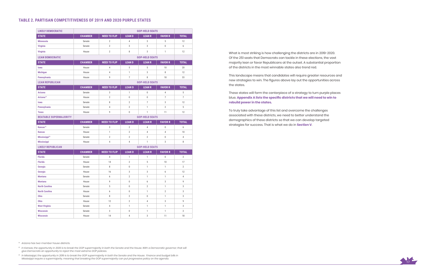

What is most striking is how challenging the districts are in 2019-2020. Of the 251 seats that Democrats can tackle in these elections, the vast majority lean or favor Republicans at the outset. A substantial proportion of the districts in the most winnable states also trend red.

This landscape means that candidates will require greater resources and new strategies to win. The figures above lay out the opportunities across the states.

These states will form the centerpiece of a strategy to turn purple places blue. **Appendix A lists the specific districts that we will need to win to rebuild power in the states.**

To truly take advantage of this list and overcome the challenges associated with these districts, we need to better understand the demographics of these districts so that we can develop targeted strategies for success. That is what we do in **Section V**.

<sup>15</sup> In Kansas, the opportunity in 2020 is to break the GOP supermajority in both the Senate and the House. With a Democratic governor, that will *give Democrats an opportunity to reject the most extreme GOP policies.*

| <b>LIKELY DEMOCRATIC</b>      |                |                     | <b>GOP-HELD SEATS</b> |                       |                  |                |
|-------------------------------|----------------|---------------------|-----------------------|-----------------------|------------------|----------------|
| <b>STATE</b>                  | <b>CHAMBER</b> | <b>NEED TO FLIP</b> | <b>LEAND</b>          | <b>LEAN R</b>         | <b>FAVOR R</b>   | <b>TOTAL</b>   |
| <b>Minnesota</b>              | Senate         | $\overline{2}$      | $\overline{4}$        | 3                     | 5                | 12             |
| <b>Virginia</b>               | Senate         | $\overline{2}$      | 3                     | 3                     | $\overline{0}$   | 6              |
| <b>Virginia</b>               | House          | $\overline{2}$      | 8                     | 3                     | $\mathbf{1}$     | 12             |
| <b>LEAN DEMOCRATIC</b>        |                |                     |                       | <b>GOP-HELD SEATS</b> |                  |                |
| <b>STATE</b>                  | <b>CHAMBER</b> | <b>NEED TO FLIP</b> | <b>LEAND</b>          | <b>LEAN R</b>         | <b>FAVOR R</b>   | <b>TOTAL</b>   |
| lowa                          | House          | 4                   | $\,$ 5 $\,$           | 5                     | 10               | 20             |
| <b>Michigan</b>               | House          | $\overline{4}$      | $\mathbf{1}$          | 3                     | 8                | 12             |
| Pennsylvania                  | House          | 9                   | $\overline{7}$        | 8                     | 18               | 33             |
| <b>LEAN REPUBLICAN</b>        |                |                     |                       | <b>GOP-HELD SEATS</b> |                  |                |
| <b>STATE</b>                  | <b>CHAMBER</b> | <b>NEED TO FLIP</b> | <b>LEAND</b>          | <b>LEAN R</b>         | <b>FAVOR R</b>   | <b>TOTAL</b>   |
| <b>Arizona</b>                | Senate         | 3                   | $\mathbf{1}$          | $\boldsymbol{0}$      | $\overline{4}$   | 5              |
| Arizona <sup>14</sup>         | House          | $\overline{2}$      | $\boldsymbol{0}$      | $\mathbf 0$           | $\overline{7}$   | $\overline{7}$ |
| lowa                          | Senate         | 8                   | $\overline{2}$        | $\overline{7}$        | 3                | 12             |
| Pennsylvania                  | Senate         | 4                   | $\mathbf{2}$          | $\mathbf{1}$          | $\overline{2}$   | 5              |
| <b>Texas</b>                  | House          | 9                   | $\mathbf 0$           | $\mathbf{1}$          | 11               | 12             |
| <b>BEATABLE SUPERMAJORITY</b> |                |                     |                       | <b>GOP-HELD SEATS</b> |                  |                |
| <b>STATE</b>                  | <b>CHAMBER</b> | <b>NEED TO FLIP</b> | <b>LEAND</b>          | <b>LEAN R</b>         | <b>FAVOR R</b>   | <b>TOTAL</b>   |
| Kansas <sup>15</sup>          | Senate         | 3                   | $\overline{2}$        | 4                     | $\boldsymbol{0}$ | 6              |
| <b>Kansas</b>                 | House          | $\mathbf{1}$        | $\overline{2}$        | $\overline{4}$        | $\overline{4}$   | 10             |
| Mississippi <sup>16</sup>     | Senate         | $\mathbf{2}$        | $\overline{2}$        | $\overline{2}$        | $\boldsymbol{0}$ | $\overline{4}$ |
| <b>Mississippi</b>            | House          | 4                   | $\overline{4}$        | $\mathbf{1}$          | 3                | 8              |
| <b>LIKELY REPUBLICAN</b>      |                |                     | <b>GOP-HELD SEATS</b> |                       |                  |                |
| <b>STATE</b>                  | <b>CHAMBER</b> | <b>NEED TO FLIP</b> | <b>LEAND</b>          | <b>LEAN R</b>         | <b>FAVOR R</b>   | <b>TOTAL</b>   |
| <b>Florida</b>                | Senate         | 4                   | $\mathbf{1}$          | $\mathbf{1}$          | $\mathbf{0}$     | $\overline{2}$ |
| <b>Florida</b>                | House          | 14                  | $\overline{2}$        | 5                     | 10               | 17             |
| Georgia                       | Senate         | 8                   | $\mathbb 0$           | $\mathbf{1}$          | $\mathbf{1}$     | $\overline{2}$ |
| Georgia                       | House          | 16                  | 3                     | 3                     | 6                | 12             |
| <b>Montana</b>                | Senate         | 6                   | $\overline{2}$        | $\mathbf{1}$          | 1                | $\overline{4}$ |
| <b>Montana</b>                | House          | 9                   | $\pmb{0}$             | 6                     | 3                | 9              |
| <b>North Carolina</b>         | Senate         | 5                   | $\boldsymbol{0}$      | $\mathbf{2}$          | 1                | 3              |
| <b>North Carolina</b>         | House          | 6                   | $\mathbf 0$           | $\mathbf{1}$          | $\mathbf{2}$     | 3              |
| Ohio                          | Senate         | 8                   | $\mathbf{2}$          | $\boldsymbol{0}$      | $\mathbf{1}$     | 3              |
| Ohio                          | House          | 12                  | $\overline{2}$        | 4                     | 3                | 9              |
| <b>West Virginia</b>          | Senate         | $\overline{4}$      | $\mathbf{1}$          | $\mathbf{1}$          | $\mathbf{1}$     | 3              |
| <b>Wisconsin</b>              | Senate         | $\mathbf{3}$        | $\boldsymbol{0}$      | $\mathbf{1}$          | $\mathbf{1}$     | $\overline{2}$ |
| <b>Wisconsin</b>              | House          | 14                  | 4                     | 3                     | 11               | 18             |

*14 Arizona has two-member house districts.* 

*16 In Mississippi, the opportunity in 2019 is to break the GOP supermajority in both the Senate and the House. Finance and budget bills in Mississippi require a supermajority, meaning that breaking the GOP supermajority can put progressive policy on the agenda.*

#### **TABLE 2. PARTISAN COMPETITIVENESS OF 2019 AND 2020 PURPLE STATES**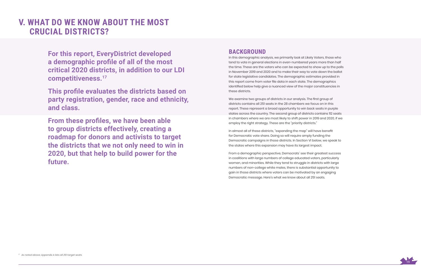

**For this report, EveryDistrict developed a demographic profile of all of the most critical 2020 districts, in addition to our LDI competitiveness.17**

**This profile evaluates the districts based on party registration, gender, race and ethnicity, and class.** 

**From these profiles, we have been able to group districts effectively, creating a roadmap for donors and activists to target the districts that we not only need to win in 2020, but that help to build power for the future.** 

# **V. WHAT DO WE KNOW ABOUT THE MOST CRUCIAL DISTRICTS?**

### **BACKGROUND**

In this demographic analysis, we primarily look at Likely Voters, those who tend to vote in general elections in even-numbered years more than half the time. These are the voters who can be expected to show up to the polls in November 2019 and 2020 and to make their way to vote down the ballot for state legislative candidates. The demographic estimates provided in this report come from voter file data in each state. The demographics identified below help give a nuanced view of the major constituencies in these districts.

We examine two groups of districts in our analysis. The first group of districts contains all 251 seats in the 28 chambers we focus on in this report. These represent a broad opportunity to win back seats in purple states across the country. The second group of districts contains 112 seats in chambers where we are most likely to shift power in 2019 and 2020, if we employ the right strategy. These are the "priority districts."

In almost all of these districts, "expanding the map" will have benefit for Democratic vote share. Doing so will require amply funding the Democratic campaigns in those districts. In Section VI below, we speak to the states where this expansion may have its largest impact.

From a demographic perspective, Democrats' see their greatest success in coalitions with large numbers of college educated voters, particularly women, and minorities. While they tend to struggle in districts with large numbers of non-college white males, there is substantial opportunity to gain in those districts where voters can be motivated by an engaging Democratic message. Here's what we know about all 251 seats.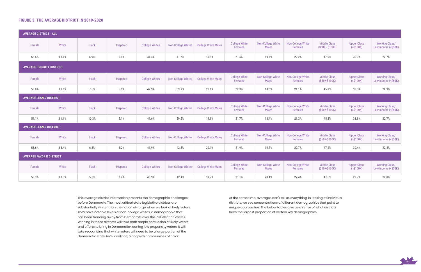

### **FIGURE 3. THE AVERAGE DISTRICT IN 2019-2020**

| <b>AVERAGE DISTRICT - ALL</b>    |       |              |          |                       |                           |                            |                                 |                                   |                              |                                          |                                   |                                              |
|----------------------------------|-------|--------------|----------|-----------------------|---------------------------|----------------------------|---------------------------------|-----------------------------------|------------------------------|------------------------------------------|-----------------------------------|----------------------------------------------|
| Female                           | White | <b>Black</b> | Hispanic | <b>College Whites</b> | <b>Non-College Whites</b> | <b>College White Males</b> | <b>College White</b><br>Females | Non-College White<br><b>Males</b> | Non-College White<br>Females | <b>Middle Class</b><br>$(S50K - S100K)$  | <b>Upper Class</b><br>( > \$100K) | <b>Working Class/</b><br>Low-Income (<\$50K) |
| 53.6%                            | 83.1% | 6.9%         | 6.4%     | 41.4%                 | 41.7%                     | 19.9%                      | 21.5%                           | 19.5%                             | 22.2%                        | 47.0%                                    | 30.3%                             | 22.7%                                        |
| <b>AVERAGE PRIORITY DISTRICT</b> |       |              |          |                       |                           |                            |                                 |                                   |                              |                                          |                                   |                                              |
| Female                           | White | <b>Black</b> | Hispanic | <b>College Whites</b> | <b>Non-College Whites</b> | <b>College White Males</b> | <b>College White</b><br>Females | Non-College White<br><b>Males</b> | Non-College White<br>Females | <b>Middle Class</b><br>(\$50K-\$100K)    | <b>Upper Class</b><br>( > \$100K) | <b>Working Class/</b><br>Low-Income (<\$50K) |
| 53.8%                            | 82.6% | 7.5%         | 5.9%     | 42.9%                 | 39.7%                     | 20.6%                      | 22.3%                           | 18.6%                             | 21.1%                        | 45.8%                                    | 33.3%                             | 20.9%                                        |
| <b>AVERAGE LEAN D DISTRICT</b>   |       |              |          |                       |                           |                            |                                 |                                   |                              |                                          |                                   |                                              |
| Female                           | White | <b>Black</b> | Hispanic | <b>College Whites</b> | <b>Non-College Whites</b> | <b>College White Males</b> | <b>College White</b><br>Females | Non-College White<br><b>Males</b> | Non-College White<br>Females | <b>Middle Class</b><br>(\$50K-\$100K)    | <b>Upper Class</b><br>( > \$100K) | <b>Working Class/</b><br>Low-Income (<\$50K) |
| 54.1%                            | 81.1% | 10.3%        | 5.1%     | 41.6%                 | 39.5%                     | 19.9%                      | 21.7%                           | 18.4%                             | 21.3%                        | 45.8%                                    | 31.6%                             | 22.7%                                        |
| <b>AVERAGE LEAN R DISTRICT</b>   |       |              |          |                       |                           |                            |                                 |                                   |                              |                                          |                                   |                                              |
| Female                           | White | <b>Black</b> | Hispanic | <b>College Whites</b> | <b>Non-College Whites</b> | <b>College White Males</b> | <b>College White</b><br>Females | Non-College White<br><b>Males</b> | Non-College White<br>Females | <b>Middle Class</b><br>(\$50K-\$100K)    | <b>Upper Class</b><br>( > \$100K) | <b>Working Class/</b><br>Low-Income (<\$50K) |
| 53.6%                            | 84.4% | 6.3%         | 6.2%     | 41.9%                 | 42.5%                     | 20.1%                      | 21.9%                           | 19.7%                             | 22.7%                        | 47.2%                                    | 30.4%                             | 22.5%                                        |
| <b>AVERAGE FAVOR R DISTRICT</b>  |       |              |          |                       |                           |                            |                                 |                                   |                              |                                          |                                   |                                              |
| Female                           | White | <b>Black</b> | Hispanic | <b>College Whites</b> | <b>Non-College Whites</b> | <b>College White Males</b> | <b>College White</b><br>Females | Non-College White<br><b>Males</b> | Non-College White<br>Females | <b>Middle Class</b><br>$($ \$50K-\$100K) | <b>Upper Class</b><br>( > \$100K) | <b>Working Class/</b><br>Low-Income (<\$50K) |
| 53.3%                            | 83.3% | 5.5%         | 7.2%     | 40.9%                 | 42.4%                     | 19.7%                      | 21.1%                           | 20.1%                             | 22.4%                        | 47.6%                                    | 29.7%                             | 22.8%                                        |

This average district information presents the demographic challenges before Democrats. The most critical state legislative districts are substantially whiter than the nation at-large when we look at likely voters. They have notable levels of non-college whites, a demographic that has been trending away from Democrats over the last election cycles. Winning in these districts will take both ample persuasion of likely voters and efforts to bring in Democratic-leaning low propensity voters. It will take recognizing that white voters will need to be a large portion of the Democratic state-level coalition, along with communities of color.

At the same time, averages don't tell us everything. In looking at individual districts, we see concentrations of different demographics that point to unique approaches. The below tables give us a sense of what districts have the largest proportion of certain key demographics.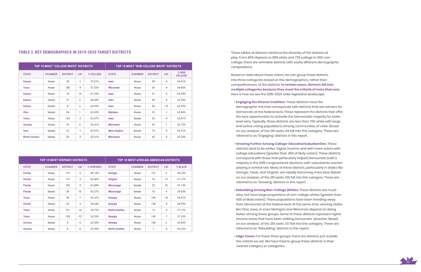

### **TABLE 3. KEY DEMOGRAPHICS IN 2019-2020 TARGET DISTRICTS**

|                | <b>TOP 10 MOST HISPANIC DISTRICTS</b> |                 |       |            |                       | <b>TOP 10 MOST AFRICAN-AMERICAN DISTRICTS</b> |                 |       |         |
|----------------|---------------------------------------|-----------------|-------|------------|-----------------------|-----------------------------------------------|-----------------|-------|---------|
| <b>STATE</b>   | <b>CHAMBER</b>                        | <b>DISTRICT</b> | LDI   | % HISPANIC | <b>STATE</b>          | <b>CHAMBER</b>                                | <b>DISTRICT</b> | LDI   | % BLACK |
| <b>Florida</b> | House                                 | 119             | $-6$  | 89.18%     | Georgia               | House                                         | 151             | 5     | 49.23%  |
| <b>Florida</b> | House                                 | 115             | $-3$  | 66.80%     | <b>Virginia</b>       | House                                         | 76              | 15    | 41.27%  |
| <b>Florida</b> | House                                 | 105             | $-3$  | 63.88%     | <b>Mississippi</b>    | Senate                                        | 22              | 10    | 41.14%  |
| <b>Florida</b> | Senate                                | 39              | 10    | 63.27%     | <b>Mississippi</b>    | Senate                                        | 10              | 4     | 39.60%  |
| <b>Texas</b>   | House                                 | 43              | $-7$  | 52.47%     | Georgia               | House                                         | 109             | $-10$ | 39.57%  |
| <b>Florida</b> | House                                 | 42              | $-9$  | 28.64%     | Georgia               | House                                         | 138             | $-9$  | 38.99%  |
| <b>Texas</b>   | House                                 | 121             | $-16$ | 25.72%     | <b>North Carolina</b> | House                                         | 12              | $-5$  | 37.72%  |
| <b>Texas</b>   | House                                 | 138             | $-12$ | 24.25%     | Georgia               | House                                         | 145             | $-7$  | 37.33%  |
| <b>Arizona</b> | Senate                                | 8               | $-6$  | 22.50%     | Georgia               | House                                         | 106             | 3     | 36.85%  |
| <b>Arizona</b> | House                                 | 8               | $-6$  | 22.50%     | <b>North Carolina</b> | House                                         | 1               | -6    | 36.42%  |

|                       | TOP 10 MOST "COLLEGE WHITE" DISTRICTS |                 |                |           | <b>TOP 10 MOST "NON-COLLEGE WHITE" DISTRICTS</b> |                |                 |            |                         |
|-----------------------|---------------------------------------|-----------------|----------------|-----------|--------------------------------------------------|----------------|-----------------|------------|-------------------------|
| <b>STATE</b>          | <b>CHAMBER</b>                        | <b>DISTRICT</b> | LDI            | % COLLEGE | <b>STATE</b>                                     | <b>CHAMBER</b> | <b>DISTRICT</b> | <b>LDI</b> | % NON<br><b>COLLEGE</b> |
| <b>Kansas</b>         | House                                 | 20              | $-1$           | 72.51%    | lowa                                             | House          | 58              | $-4$       | 64.61%                  |
| <b>Texas</b>          | House                                 | 108             | $-9$           | 67.52%    | <b>Wisconsin</b>                                 | House          | 50              | $-4$       | 64.60%                  |
| <b>Kansas</b>         | House                                 | 14              | $-10$          | 67.29%    | lowa                                             | House          | 51              | -6         | 64.38%                  |
| <b>Kansas</b>         | House                                 | 17              | 2              | 66.09%    | lowa                                             | House          | 96              | $-9$       | 64.25%                  |
| <b>Kansas</b>         | Senate                                | 8               | $\overline{2}$ | 65.95%    | lowa                                             | House          | 56              | $-10$      | 63.93%                  |
| <b>Ohio</b>           | Senate                                | 24              | 1              | 63.83%    | <b>Montana</b>                                   | House          | 22              | $-1$       | 63.84%                  |
| <b>Texas</b>          | House                                 | 134             | $-3$           | 63.67%    | <b>lowa</b>                                      | Senate         | 26              | $-4$       | 63.81%                  |
| Georgia               | House                                 | 52              | 4              | 63.41%    | <b>Wisconsin</b>                                 | House          | 92              | 1          | 63.72%                  |
| lowa                  | Senate                                | 22              | $-1$           | 62.81%    | <b>West Virginia</b>                             | Senate         | 10              | $-9$       | 63.51%                  |
| <b>North Carolina</b> | Senate                                | 39              | $-3$           | 62.61%    | <b>Wisconsin</b>                                 | House          | 42              | -6         | 63.25%                  |

These tables of districts reinforce the diversity of the districts at play. From 89% Hispanic to 98% white and 73% college to 65% noncollege, there are winnable districts with vastly different demographic compositions.

Based on data about these voters, we can group these districts into three categories based on the demographics, rather than competitiveness, of the districts. **In certain cases, districts fall into multiple categories because they meet the criteria of more than one.** Here is how we see the 2019-2020 state legislative landscape.

- **Engaging the Diverse Coalition:** These districts have the demographic mix that corresponds with districts that are winners for Democrats at the federal level. These represent the districts that offer the best opportunities to activate the Democratic majority for statelevel wins. Typically, these districts are less than 70% white with large and active voting populations among communities of color. Based on our analysis, of the 251 seats, 44 fall into this category. These are referred to as "Engaging" districts in this report.
- **Growing Further Among College-Educated Suburbanites:** These districts tend to be whiter, higher income, and with more voters with college educations (greater than 45% of likely voters). These districts correspond with those that particularly helped Democrats build a majority in the 2018 congressional elections, with suburbanite women playing a central role. Many of these districts, particularly in states like Georgia, Texas, and Virginia, are rapidly becoming more blue. Based on our analysis, of the 251 seats, 125 fall into this category. These are referred to as "Growing" districts in this report.
- **Rebuilding Among Non-College Whites:** These districts are mustwins, but have large proportions of non-college whites (greater than 40% of likely voters). These populations have been trending away from Democrats at the federal level. At the same time, winning states like Ohio, Iowa, or even Michigan and Wisconsin depend on doing better among these groups. Some of these districts represent higher income areas that have been shifting Democrats' direction. Based on our analysis, of the 251 seats, 137 fall into this category. These are referred to as "Rebuilding" districts in this report.
- **Edge Cases:** For these three groups, there are districts just outside the criteria we set. We have tried to group those districts in their nearest category or categories.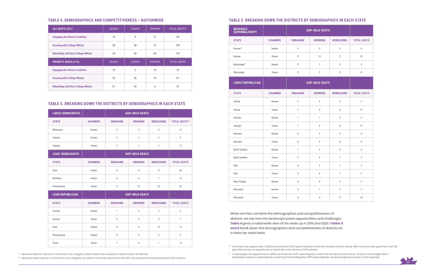

### **TABLE 4. DEMOGRAPHICS AND COMPETITIVENESS – NATIONWIDE TABLE 5. BREAKING DOWN THE DISTRICTS BY DEMOGRAPHICS IN EACH STATE**

### **TABLE 5. BREAKING DOWN THE DISTRICTS BY DEMOGRAPHICS IN EACH STATE**

| ALL SEATS (251)                           | <b>LEAND</b> | <b>LEAN R</b> | <b>FAVOR R</b>  | <b>TOTAL SEATS<sup>18</sup></b> |
|-------------------------------------------|--------------|---------------|-----------------|---------------------------------|
| <b>Engaging the Diverse Coalition</b>     | 14           | 9             | 21              | 44                              |
| <b>Growing with College Whites</b>        | 30           | 38            | 57              | 125                             |
| <b>Rebuilding with Non-College Whites</b> | 29           | 42            | 66              | 137                             |
| <b>PRIORITY SEATS (112)</b>               | <b>LEAND</b> | <b>LEAN R</b> | <b>FAVOR R</b>  | <b>TOTAL SEATS</b>              |
|                                           |              |               |                 |                                 |
| <b>Engaging the Diverse Coalition</b>     | 10           | 3             | 10 <sup>°</sup> | 23                              |
| <b>Growing with College Whites</b>        | 25           | 26            | 10              | 61                              |

| <b>LIKELY DEMOCRATIC</b> |                |                       | <b>GOP-HELD SEATS</b> |                   |                                 |
|--------------------------|----------------|-----------------------|-----------------------|-------------------|---------------------------------|
| <b>STATE</b>             | <b>CHAMBER</b> | <b>ENGAGING</b>       | <b>GROWING</b>        | <b>REBUILDING</b> | <b>TOTAL SEATS<sup>19</sup></b> |
| Minnesota                | Senate         | $\mathbf 0$           | 11                    | 8                 | 12                              |
| Virginia                 | Senate         | $\mathbf 0$           | 5                     | $\overline{2}$    | 6                               |
| Virginia                 | House          | $\mathsf{g}$          | 3                     | 3                 | 12                              |
| <b>LEAN DEMOCRATIC</b>   |                | <b>GOP-HELD SEATS</b> |                       |                   |                                 |
| <b>STATE</b>             | <b>CHAMBER</b> | <b>ENGAGING</b>       | <b>GROWING</b>        | <b>REBUILDING</b> | <b>TOTAL SEATS</b>              |
| lowa                     | House          | $\mathbf 0$           | 11                    | 17                | 20                              |
| Michigan                 | House          | $\overline{0}$        | 6                     | $\overline{7}$    | 12                              |
| Pennsylvania             | House          | $\mathbf 0$           | 22                    | 22                | 33                              |
| <b>LEAN REPUBLICAN</b>   |                |                       | <b>GOP-HELD SEATS</b> |                   |                                 |
| <b>STATE</b>             | <b>CHAMBER</b> | <b>ENGAGING</b>       | <b>GROWING</b>        | <b>REBUILDING</b> | <b>TOTAL SEATS</b>              |
| Arizona                  | Senate         | $\mathbf{1}$          | 3                     | $\overline{2}$    | 5                               |
| Arizona                  | House          | $\overline{2}$        | 3                     | $\overline{4}$    | $\overline{7}$                  |
| lowa                     | Senate         | $\mathbf 0$           | $\overline{2}$        | 10                | 12                              |
| Pennsylvania             | Senate         | $\mathbf 0$           | 3                     | 3                 | 5                               |
| Texas                    | House          | $\overline{7}$        | 6                     | $\mathbf{1}$      | 12                              |

| <b>BEATABLE</b><br><b>SUPERMAJORITY</b> |                | <b>GOP-HELD SEATS</b> |                |                   |                    |
|-----------------------------------------|----------------|-----------------------|----------------|-------------------|--------------------|
| <b>STATE</b>                            | <b>CHAMBER</b> | <b>ENGAGING</b>       | <b>GROWING</b> | <b>REBUILDING</b> | <b>TOTAL SEATS</b> |
| Kansas <sup>20</sup>                    | Senate         | $\boldsymbol{0}$      | 5              | 3                 | 6                  |
| Kansas                                  | House          | $\boldsymbol{0}$      | 10             | $\overline{2}$    | 10                 |
| Mississippi <sup>21</sup>               | Senate         | 3                     | $\mathbf{1}$   | $\bf 0$           | $\sqrt{4}$         |
| Mississippi                             | House          | 3                     | 3              | 5                 | $\, 8$             |
| <b>LIKELY REPUBLICAN</b>                |                | <b>GOP-HELD SEATS</b> |                |                   |                    |
| <b>STATE</b>                            | <b>CHAMBER</b> | <b>ENGAGING</b>       | <b>GROWING</b> | <b>REBUILDING</b> | <b>TOTAL SEATS</b> |
| Florida                                 | Senate         | $\overline{2}$        | $\mathbb O$    | $\pmb{0}$         | $\overline{2}$     |
| Florida                                 | House          | $\overline{7}$        | 4              | 6                 | 17                 |
| Georgia                                 | Senate         | $\mathbf{1}$          | $\mathbf{1}$   | $\boldsymbol{0}$  | $\overline{2}$     |
| Georgia                                 | House          | $\overline{7}$        | 5              | $\pmb{0}$         | 12                 |
| Montana                                 | Senate         | $\mathbf 0$           | 3              | $\overline{4}$    | $\overline{4}$     |
| Montana                                 | House          | $\boldsymbol{0}$      | 5              | 8                 | 9                  |
| North Carolina                          | Senate         | $\mathbf{1}$          | $\overline{2}$ | $\bf 0$           | $\sqrt{3}$         |
| North Carolina                          | House          | $\overline{2}$        | $\mathbf 0$    | $\mathbf{1}$      | $\sqrt{3}$         |
| Ohio                                    | Senate         | $\mathbf 0$           | $\overline{2}$ | $\mathbf{1}$      | $\sqrt{3}$         |
| Ohio                                    | House          | $\boldsymbol{0}$      | 6              | $\overline{7}$    | 9                  |
| West Virginia                           | Senate         | $\mathbf 0$           | $\mathbb O$    | 3                 | 3                  |
| Wisconsin                               | Senate         | $\mathbf 0$           | $\mathbf{1}$   | $\overline{2}$    | $\overline{2}$     |
| Wisconsin                               | House          | $\mathbf 0$           | 4              | 17                | 18                 |

When we then combine the demographics and competitiveness of districts, we see how the landscape poses opportunities and challenges. **Table 4** gives a nationwide view of the seats up in 2019 and 2020. **Tables 5 and 6** break down the demographics and competitiveness of districts on a state-by-state basis.

*18 Because districts may be in more than one category, these totals may exceed the total number of districts.*

*19 Because seats may be in more than one category, the total in the three columns to the left may exceed the total presented in this column.*

*20 In Kansas, the opportunity in 2020 is to break the GOP supermajority in both the Senate and the House. With a Democratic governor, that will give Democrats an opportunity to reject the most extreme GOP policies.*

*21 In Mississippi, the opportunity in 2019 is to break the GOP supermajority in both the Senate and the House. Finance and budget bills in Mississippi require a supermajority, meaning that breaking the GOP supermajority can put progressive policy on the agenda.*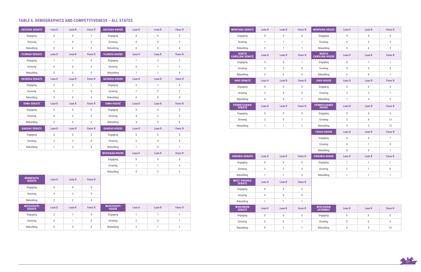

### **TABLE 6. DEMOGRAPHICS AND COMPETITIVENESS – ALL STATES**

| <b>ARIZONA SENATE</b>        | Lean D           | Lean R           | <b>Favor R</b>   | <b>ARIZONA HOUSE</b>               | Lean D           | Lean R           | <b>Favor R</b>   |
|------------------------------|------------------|------------------|------------------|------------------------------------|------------------|------------------|------------------|
| Engaging                     | $\boldsymbol{0}$ | $\mathbf 0$      | $\mathbf{1}$     | Engaging                           | $\boldsymbol{0}$ | 0                | $\overline{2}$   |
| Growing                      | $\mathbf{1}$     | $\boldsymbol{0}$ | $\overline{2}$   | Growing                            | $\boldsymbol{0}$ | $\boldsymbol{0}$ | 3                |
| Rebuilding                   | $\mathbf 0$      | $\mathbf 0$      | $\overline{2}$   | Rebuilding                         | $\mathbf 0$      | $\boldsymbol{0}$ | $\overline{4}$   |
| <b>FLORIDA SENATE</b>        | <b>Lean D</b>    | <b>Lean R</b>    | <b>Favor R</b>   | <b>FLORIDA HOUSE</b>               | Lean D           | Lean R           | <b>Favor R</b>   |
| Engaging                     | $\mathbf{1}$     | $\mathbf{1}$     | $\mathbf 0$      | Engaging                           | $\mathbf{1}$     | 3                | $\sqrt{3}$       |
| Growing                      | $\boldsymbol{0}$ | $\boldsymbol{0}$ | $\mathbf 0$      | Growing                            | $\boldsymbol{0}$ | $\mathbf{1}$     | 3                |
| Rebuilding                   | $\mathbf 0$      | $\mathbf 0$      | $\overline{0}$   | Rebuilding                         | $\mathbf{1}$     | 1                | $\overline{4}$   |
| <b>GEORGIA SENATE</b>        | <b>Lean D</b>    | <b>Lean R</b>    | <b>Favor R</b>   | <b>GEORGIA HOUSE</b>               | Lean D           | Lean R           | <b>Favor R</b>   |
| Engaging                     | $\boldsymbol{0}$ | $\boldsymbol{0}$ | 1                | Engaging                           | $\mathbf{2}$     | 1                | $\sqrt{4}$       |
| Growing                      | $\boldsymbol{0}$ | $\mathbf{1}$     | $\mathbf 0$      | Growing                            | $\mathbf{1}$     | $\overline{2}$   | $\overline{2}$   |
| Rebuilding                   | $\mathbf 0$      | $\mathbf 0$      | $\overline{0}$   | Rebuilding                         | $\mathbf 0$      | 0                | $\mathbf 0$      |
| <b>IOWA SENATE</b>           | <b>Lean D</b>    | <b>Lean R</b>    | <b>Favor R</b>   | <b>IOWA HOUSE</b>                  | Lean D           | Lean R           | <b>Favor R</b>   |
| Engaging                     | $\boldsymbol{0}$ | $\boldsymbol{0}$ | 0                | Engaging                           | $\boldsymbol{0}$ | 0                | $\boldsymbol{0}$ |
| Growing                      | $\boldsymbol{0}$ | $\overline{2}$   | $\mathbf 0$      | Growing                            | $\overline{4}$   | $\overline{2}$   | 5                |
| Rebuilding                   | $\overline{2}$   | 5                | 3                | Rebuilding                         | $\overline{4}$   | 5                | 8                |
| <b>KANSAS SENATE</b>         | Lean D           | <b>Lean R</b>    | <b>Favor R</b>   | <b>KANSAS HOUSE</b>                | Lean D           | Lean R           | <b>Favor R</b>   |
| Engaging                     | $\boldsymbol{0}$ | $\boldsymbol{0}$ | $\mathbb 0$      | Engaging                           | $\boldsymbol{0}$ | $\boldsymbol{0}$ | $\boldsymbol{0}$ |
| Growing                      | $\overline{2}$   | 3                | $\mathbf 0$      | Growing                            | $\overline{2}$   | 4                | $\overline{4}$   |
| Rebuilding                   | $\mathbf{1}$     | $\overline{2}$   | $\boldsymbol{0}$ | Rebuilding                         | 1                | 0                | $\mathbf{1}$     |
|                              |                  |                  |                  | <b>MICHIGAN HOUSE</b>              | Lean D           | Lean R           | <b>Favor R</b>   |
|                              |                  |                  |                  | Engaging                           | $\boldsymbol{0}$ | $\boldsymbol{0}$ | $\boldsymbol{0}$ |
|                              |                  |                  |                  | Growing                            | $\mathbf{1}$     | 1                | $\overline{4}$   |
|                              |                  |                  |                  | Rebuilding                         | $\mathbf 0$      | $\overline{2}$   | 5                |
| <b>MINNESOTA</b><br>SENATE   | Lean D           | <b>Lean R</b>    | <b>Favor R</b>   |                                    |                  |                  |                  |
| Engaging                     | $\mathbf 0$      | 0                | $\mathbf 0$      |                                    |                  |                  |                  |
| Growing                      | $\overline{4}$   | $\overline{2}$   | 5                |                                    |                  |                  |                  |
| Rebuilding                   | $\overline{2}$   | $\overline{2}$   | $\overline{4}$   |                                    |                  |                  |                  |
| <b>MISSISSIPPI</b><br>SENATE | Lean D           | Lean R           | <b>Favor R</b>   | <b>MISSISSIPPI</b><br><b>HOUSE</b> | Lean D           | Lean R           | <b>Favor R</b>   |
| Engaging                     | $\overline{2}$   | $\mathbf{1}$     | $\mathbb 0$      | Engaging                           | $\mathbf{1}$     | $\mathbf{1}$     | $\mathbf{1}$     |
| Growing                      | $\boldsymbol{0}$ | $\mathbf{1}$     | $\mathbf 0$      | Growing                            | $\overline{2}$   | $\boldsymbol{0}$ | $\mathbf{1}$     |
| Rebuilding                   | $\boldsymbol{0}$ | $\mathbf 0$      | 0                | Rebuilding                         | $\mathbf{2}$     | $\mathbf{1}$     | $\mathbf{2}$     |

| <b>MONTANA SENATE</b>                  | <b>Lean D</b>    | <b>Lean R</b>    | <b>Favor R</b>   | <b>MONTANA HOUSE</b>                  | Lean D         | <b>Lean R</b>    | <b>Favor R</b> |
|----------------------------------------|------------------|------------------|------------------|---------------------------------------|----------------|------------------|----------------|
| Engaging                               | $\boldsymbol{0}$ | $\mathbf 0$      | $\mathbf 0$      | Engaging                              | 0              | $\mathbf 0$      | $\mathbf 0$    |
| Growing                                | $\mathbf{1}$     | $\mathbf{1}$     | $\mathbf{1}$     | Growing                               | 0              | 3                | $\overline{2}$ |
| Rebuilding                             | $\overline{2}$   | $\mathbf{1}$     | $\mathbf{1}$     | Rebuilding                            | $\overline{0}$ | $\boldsymbol{6}$ | $\overline{2}$ |
| <b>NORTH</b><br><b>CAROLINA SENATE</b> | Lean D           | <b>Lean R</b>    | <b>Favor R</b>   | <b>NORTH</b><br><b>CAROLINA HOUSE</b> | <b>Lean D</b>  | <b>Lean R</b>    | <b>Favor R</b> |
| Engaging                               | $\mathbf 0$      | $\mathbf 0$      | $\mathbf{1}$     | Engaging                              | 0              | $\mathbf{1}$     | $\mathbf{1}$   |
| Growing                                | $\boldsymbol{0}$ | $\overline{2}$   | $\mathbf 0$      | Growing                               | 0              | $\boldsymbol{0}$ | $\mathsf{0}$   |
| Rebuilding                             | 0                | $\mathbf{0}$     | $\mathbf{0}$     | Rebuilding                            | $\overline{0}$ | $\mathbf 0$      | $\mathbf{1}$   |
| <b>OHIO SENATE</b>                     | <b>Lean D</b>    | <b>Lean R</b>    | <b>Favor R</b>   | <b>OHIO HOUSE</b>                     | <b>Lean D</b>  | <b>Lean R</b>    | <b>Favor R</b> |
| Engaging                               | $\mathsf{0}$     | $\boldsymbol{0}$ | $\mathbf 0$      | Engaging                              | $\overline{0}$ | $\boldsymbol{0}$ | $\mathbf 0$    |
| Growing                                | $\overline{2}$   | $\mathbf 0$      | $\mathbf 0$      | Growing                               | $\overline{2}$ | 3                | $\mathbf{1}$   |
| Rebuilding                             | $\mathbf 0$      | $\mathbf 0$      | $\mathbf{1}$     | Rebuilding                            | $\mathbf{1}$   | $\overline{4}$   | $\overline{2}$ |
| <b>PENNSYLVANIA</b><br><b>SENATE</b>   | <b>Lean D</b>    | <b>Lean R</b>    | <b>Favor R</b>   | PENNSYLVANIA<br><b>HOUSE</b>          | <b>Lean D</b>  | <b>Lean R</b>    | <b>Favor R</b> |
| Engaging                               | 0                | $\mathbf 0$      | $\mathbf 0$      | Engaging                              | 0              | $\mathbf 0$      | $\mathbf{0}$   |
| Growing                                | $\overline{2}$   | $\mathbf 0$      | $\mathbf{1}$     | Growing                               | 3              | $\boldsymbol{6}$ | 13             |
| Rebuilding                             | $\mathbf{1}$     | $\mathbf{1}$     | $\mathbf{1}$     | Rebuilding                            | 5              | 5                | 12             |
|                                        |                  |                  |                  | <b>TEXAS HOUSE</b>                    | <b>Lean D</b>  | <b>Lean R</b>    | <b>Favor R</b> |
|                                        |                  |                  |                  | Engaging                              | $\mathbf 0$    | $\boldsymbol{0}$ | $\overline{7}$ |
|                                        |                  |                  |                  | Growing                               | 0              | $\mathbf{1}$     | 5              |
|                                        |                  |                  |                  | Rebuilding                            | $\overline{0}$ | $\mathbf 0$      | $\mathbf{1}$   |
| <b>VIRGINIA SENATE</b>                 | <b>Lean D</b>    | <b>Lean R</b>    | <b>Favor R</b>   | <b>VIRGINIA HOUSE</b>                 | <b>Lean D</b>  | <b>Lean R</b>    | <b>Favor R</b> |
| Engaging                               | $\mathbf 0$      | $\mathbf 0$      | $\mathbf 0$      | Engaging                              | $\overline{7}$ | $\mathbf{1}$     | $\mathbf{1}$   |
| Growing                                | $\overline{2}$   | 3                | $\mathbf 0$      | Growing                               | $\overline{2}$ | $\mathbf{1}$     | 0              |
| Rebuilding                             | $\mathbf{1}$     | $\mathbf{1}$     | $\boldsymbol{0}$ | Rebuilding                            | $\mathbf{1}$   | $\mathbf{1}$     | 1              |

| <b>VIRGINIA SENATE</b>                | <b>Lean D</b>  | Lean <sub>R</sub> | <b>Favor R</b> | <b>VIRGINIA HOUSE</b>               | Lean D         | <b>Lean R</b> | <b>Favor R</b> |
|---------------------------------------|----------------|-------------------|----------------|-------------------------------------|----------------|---------------|----------------|
| Engaging                              | $\mathbf 0$    | $\mathbf 0$       | 0              | Engaging                            | 7              | 1             | 1              |
| Growing                               | $\overline{2}$ | 3                 | 0              | Growing                             | $\overline{2}$ | $\mathbf{1}$  | 0              |
| Rebuilding                            | 1              | $\mathbf{1}$      | 0              | Rebuilding                          | 1              | 1             | 1              |
| <b>WEST VIRGINIA</b><br><b>SENATE</b> | Lean D         | Lean <sub>R</sub> | <b>Favor R</b> |                                     |                |               |                |
| Engaging                              | $\mathbf 0$    | $\mathbf{0}$      | $\mathbf 0$    |                                     |                |               |                |
| Growing                               | $\mathbf{0}$   | $\mathbf{0}$      | $\overline{0}$ |                                     |                |               |                |
| Rebuilding                            | 1              | $\mathbf{1}$      | 1              |                                     |                |               |                |
| <b>WISCONSIN</b><br><b>SENATE</b>     | <b>Lean D</b>  | Lean <sub>R</sub> | <b>Favor R</b> | <b>WISCONSIN</b><br><b>ASSEMBLY</b> | Lean D         | <b>Lean R</b> | <b>Favor R</b> |
| Engaging                              | $\mathbf{0}$   | $\mathbf 0$       | 0              | Engaging                            | $\mathbf 0$    | $\mathbf{0}$  | 0              |
| Growing                               | $\mathbf 0$    | $\mathbf 0$       | $\mathbf{1}$   | Growing                             | $\mathbf 0$    | $\mathbf 0$   | 4              |
| Rebuilding                            | $\mathbf 0$    | 1                 | 1              | Rebuilding                          | 4              | 3             | 10             |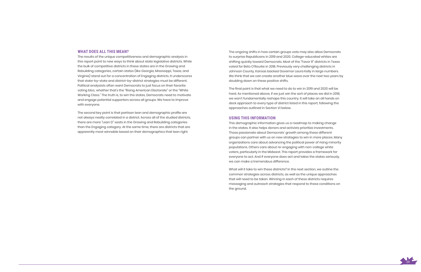

#### **WHAT DOES ALL THIS MEAN?**

The results of the unique competitiveness and demographic analysis in this report point to new ways to think about state legislative districts. While the bulk of competitive districts in these states are in the Growing and Rebuilding categories, certain states (like Georgia, Mississippi, Texas, and Virginia) stand out for a concentration of Engaging districts. It underscores that state-by-state and district-by-district strategies must be different. Political analysists often want Democrats to just focus on their favorite voting bloc, whether that's the "Rising American Electorate" or the "White Working Class." The truth is, to win the states, Democrats need to motivate and engage potential supporters across all groups. We have to improve with everyone.

The second key point is that partisan lean and demographic profile are not always neatly correlated in a district. Across all of the studied districts, there are more "Lean D" seats in the Growing and Rebuilding categories than the Engaging category. At the same time, there are districts that are apparently most winnable based on their demographics that lean right.

The ongoing shifts in how certain groups vote may also allow Democrats to surprise Republicans in 2019 and 2020. College-educated whites are shifting quickly toward Democrats. Most of the "Favor R" districts in Texas voted for Beto O'Rourke in 2018. Previously very challenging districts in Johnson County, Kansas backed Governor Laura Kelly in large numbers. We think that we can create another blue wave over the next two years by doubling down on these positive shifts.

The final point is that what we need to do to win in 2019 and 2020 will be hard. As mentioned above, if we just win the sort of places we did in 2018, we won't fundamentally reshape this country. It will take an all hands on deck approach to every type of district listed in this report, following the approaches outlined in Section VI below.

#### **USING THIS INFORMATION**

This demographic information gives us a roadmap to making change in the states. It also helps donors and activists prioritize investments. Those passionate about Democrats' growth among these different groups can partner with us on new strategies to win in more places. Many organizations care about advancing the political power of rising minority populations. Others care about re-engaging with non-college white voters, particularly in the Midwest. This report provides a framework for everyone to act. And if everyone does act and takes the states seriously, we can make a tremendous difference.

What will it take to win these districts? In the next section, we outline the common strategies across districts, as well as the unique approaches that will need to be taken. Winning in each of these districts requires messaging and outreach strategies that respond to these conditions on the ground.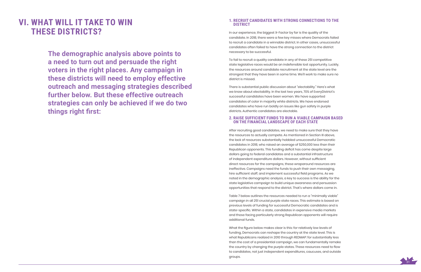

**The demographic analysis above points to a need to turn out and persuade the right voters in the right places. Any campaign in these districts will need to employ effective outreach and messaging strategies described further below. But these effective outreach strategies can only be achieved if we do two things right first:**

# **VI. WHAT WILL IT TAKE TO WIN THESE DISTRICTS?**

#### **1. RECRUIT CANDIDATES WITH STRONG CONNECTIONS TO THE DISTRICT**

In our experience, the biggest X-Factor by far is the quality of the candidate. In 2018, there were a few key misses where Democrats failed to recruit a candidate in a winnable district. In other cases, unsuccessful candidates often failed to have the strong connection to the district necessary to be successful.

To fail to recruit a quality candidate in any of these 251 competitive state legislative races would be an indefensible lost opportunity. Luckily, the resources around candidate recruitment at the state level are the strongest that they have been in some time. We'll work to make sure no district is missed.

There is substantial public discussion about "electability." Here's what we know about electability. In the last two years, 70% of EveryDistrict's successful candidates have been women. We have supported candidates of color in majority white districts. We have endorsed candidates who have run boldly on issues like gun safety in purple districts. Authentic candidates are electable.

### **2. RAISE SUFFICIENT FUNDS TO RUN A VIABLE CAMPAIGN BASED ON THE FINANCIAL LANDSCAPE OF EACH STATE**

After recruiting good candidates, we need to make sure that they have the resources to actually compete. As mentioned in Section III above, the lack of resources substantially hobbled unsuccessful Democratic candidates in 2018, who raised an average of \$250,000 less than their Republican opponents. This funding deficit has come despite large dollars going to federal candidates and a substantial infrastructure of independent expenditure dollars. However, without sufficient direct resources for the campaigns, these wraparound resources are ineffective. Campaigns need the funds to push their own messaging, hire sufficient staff, and implement successful field programs. As we noted in the demographic analysis, a key to success is the ability for the state legislative campaign to build unique awareness and persuasion opportunities that respond to the district. That's where dollars come in.

Table 7 below outlines the resources needed to run a "minimally viable" campaign in all 251 crucial purple state races. This estimate is based on previous levels of funding for successful Democratic candidates and is state-specific. Within a state, candidates in expensive media markets and those facing particularly strong Republican opponents will require additional funds.

What the figure below makes clear is this: for relatively low levels of funding, Democrats can reshape the country at the state level. This is what Republicans realized in 2010 through REDMAP: for substantially less than the cost of a presidential campaign, we can fundamentally remake the country by changing the purple states. These resources need to flow to candidates, not just independent expenditures, caucuses, and outside groups.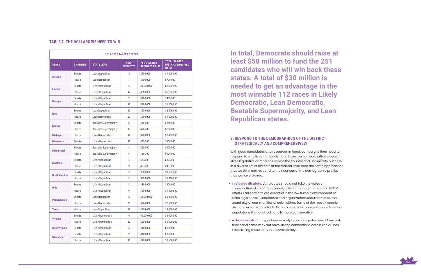

#### **TABLE 7. THE DOLLARS WE NEED TO WIN**

|                       |                |                               | <b>2019-2020 TARGET STATES</b>    |                                              |                                                                 |
|-----------------------|----------------|-------------------------------|-----------------------------------|----------------------------------------------|-----------------------------------------------------------------|
| <b>STATE</b>          | <b>CHAMBER</b> | <b>STATE LEAN</b>             | <b>TARGET</b><br><b>DISTRICTS</b> | <b>PER DISTRICT</b><br><b>REQUIRED RAISE</b> | <b>TOTAL TARGET</b><br><b>DISTRICT REQUIRED</b><br><b>RAISE</b> |
|                       | Senate         | Lean Republican               | 5                                 | \$200,000                                    | \$1,000,000                                                     |
| <b>Arizona</b>        | House          | Lean Republican               | 7                                 | \$100,000                                    | \$700,000                                                       |
| <b>Florida</b>        | Senate         | Likely Republican             | $\overline{2}$                    | \$1,000,000                                  | \$2,000,000                                                     |
| House                 |                | Likely Republican             | 17                                | \$300,000                                    | \$5,100,000                                                     |
|                       | Senate         | Likely Republican             | $\overline{2}$                    | \$200,000                                    | \$400,000                                                       |
| Georgia               | House          | Likely Republican             | 12                                | \$100,000                                    | \$1,200,000                                                     |
|                       | Senate         | Lean Republican               | 12                                | \$200,000                                    | \$2,400,000                                                     |
| <b>lowa</b>           | House          | Lean Democratic               | 20                                | \$200,000                                    | \$4,000,000                                                     |
|                       | Senate         | <b>Beatable Supermajority</b> | 6                                 | \$40,000                                     | \$240,000                                                       |
| <b>Kansas</b>         | House          | <b>Beatable Supermajority</b> | 10 <sup>1</sup>                   | \$20,000                                     | \$200,000                                                       |
| <b>Michigan</b>       | House          | Lean Democratic               | 12                                | \$200,000                                    | \$2,400,000                                                     |
| <b>Minnesota</b>      | Senate         | Likely Democratic             | 12                                | \$75,000                                     | \$900,000                                                       |
|                       | Senate         | <b>Beatable Supermajority</b> | 4                                 | \$50,000                                     | \$200,000                                                       |
| <b>Mississippi</b>    | House          | <b>Beatable Supermajority</b> | 8                                 | \$50,000                                     | \$400,000                                                       |
|                       | Senate         | Likely Republican             | 4                                 | \$5,000                                      | \$20,000                                                        |
| <b>Montana</b>        | House          | Likely Republican             | 9                                 | \$5,000                                      | \$45,000                                                        |
|                       | Senate         | Likely Republican             | 3                                 | \$500,000                                    | \$1,500,000                                                     |
| <b>North Carolina</b> | House          | Likely Republican             | 3                                 | \$500,000                                    | \$1,500,000                                                     |
|                       | Senate         | Likely Republican             | 3                                 | \$300,000                                    | \$900.000                                                       |
| <b>Ohio</b>           | House          | Likely Republican             | 9                                 | \$200,000                                    | \$1,800,000                                                     |
|                       | Senate         | Lean Republican               | 5                                 | \$1,000,000                                  | \$5,000,000                                                     |
| Pennsylvania          | House          | Lean Democratic               | 33                                | \$200,000                                    | \$6,600,000                                                     |
| <b>Texas</b>          | House          | Lean Republican               | 12                                | \$250,000                                    | \$3,000,000                                                     |
|                       | Senate         | Likely Democratic             | 6                                 | \$1,000,000                                  | \$6,000,000                                                     |
| <b>Virginia</b>       | House          | Likely Democratic             | 12                                | \$500,000                                    | \$6,000,000                                                     |
| <b>West Virginia</b>  | Senate         | Likely Republican             | 3                                 | \$100,000                                    | \$300,000                                                       |
|                       | Senate         | Likely Republican             | $\mathbf{2}$                      | \$400,000                                    | \$800,000                                                       |
| <b>Wisconsin</b>      | House          | Likely Republican             | 18                                | \$200,000                                    | \$3,600,000                                                     |

**In total, Democrats should raise at least \$58 million to fund the 251 candidates who will win back these states. A total of \$30 million is needed to get an advantage in the most winnable 112 races in Likely Democratic, Lean Democratic, Beatable Supermajority, and Lean Republican states.** 

### **3. RESPOND TO THE DEMOGRAPHICS OF THE DISTRICT STRATEGICALLY AND COMPREHENSIVELY**

With good candidates and resources in hand, campaigns then need to respond to who lives in their districts. Based on our work with successful state legislative campaigns across the country and Democrats' success in a diverse set of districts at the federal level, here are some approaches that we think can respond to the nuances of the demographic profiles that we have shared.

- In **diverse districts,** candidates should not take the votes of communities of color for granted, only contacting them during GOTV efforts. Earlier efforts are essential in the low turnout environment of state legislatures. Candidates and organizations should not assume unanimity of communities of color, either. Some of the most Hispanic districts on our list are South Florida districts with large Cuban-American populations that are traditionally more conservative.
- A **diverse district** may not necessarily be an integrated one. Many firsttime candidates may not have strong connections across racial lines. Establishing those early in the cycle is key.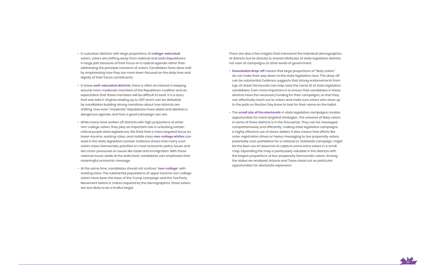

- In suburban districts with large proportions of **college-educated** voters, voters are shifting away from national and state Republicans in large part because of their focus on a radical agenda rather than addressing the principal concerns of voters. Candidates have done well by emphasizing how they are more laser-focused on the daily lives and dignity of their future constituents.
- In these **well-educated districts**, there is often an interest in keeping around more moderate members of the Republican coalition and an expectation that these members will be difficult to beat. It is a story that was told in Virginia leading up to 2017 and it can be defeated by candidates building strong narratives about how districts are shifting, how even "moderate" Republicans have aided and abetted a dangerous agenda, and how a good campaign can win.
- While many have written off districts with high proportions of white non-college voters, they play an important role in unlocking certain critical purple state legislatures. We think that a more targeted focus on lower-income, working-class, and middle class **non-college whites** can work in the state legislative context. Evidence shows that many such voters share Democratic priorities on most economic policy issues and are cross-pressured on issues like trade and immigration. With these national issues aside at the state level, candidates can emphasize their meaningful economic message.
- At the same time, candidates should not confuse "**non-college**" with working class. The substantial populations of upper income non-college voters have been the base of the Trump campaign and the Tea Party Movement before it. Unless required by the demographics, those voters are less likely to be a fruitful target.

There are also a few insights that transcend the individual demographics of districts but tie directly to shared attributes of state legislative districts not seen at campaigns at other levels of government.

- **Downballot drop-off** means that large proportions of "likely voters" do not make their way down to the state legislative race. This drop-off can be substantial. Evidence suggests that strong endorsements from top-of-ticket Democrats can help raise the name ID of state legislative candidates. Even more important is to ensure that candidates in these districts have the necessary funding for their campaigns, so that they can effectively reach out to voters and make sure voters who show up to the polls on Election Day know to look for their name on the ballot.
- The **small size of the electorate** in state legislative campaigns creates opportunities for more targeted strategies. The universe of likely voters in some of these districts is in the thousands. They can be messaged comprehensively and efficiently, making state legislative campaigns a highly effective use of donor dollars. It also means that efforts like voter registration drives or heavy messaging to low propensity voters, potentially cost-prohibitive for a national or statewide campaign, might be the best use of resources to capture some extra voters in a small map. Expanding the map is particularly valuable in the districts with the largest proportions of low-propensity Democratic voters. Among the states we analyzed, Arizona and Texas stood out as particular opportunities for electorate expansion.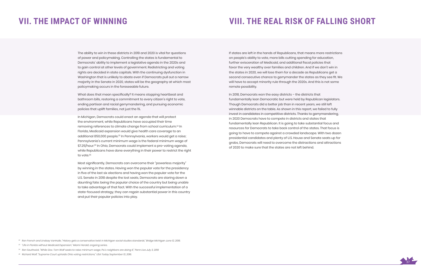

# **VII. THE IMPACT OF WINNING**

The ability to win in these districts in 2019 and 2020 is vital for questions of power and policymaking. Controlling the states is fundamental to Democrats' ability to implement a legislative agenda in the 2020s and to gain control at other levels of government. Redistricting and voting rights are decided in state capitals. With the continuing dysfunction in Washington that is unlikely to abate even if Democrats pull out a narrow majority in the Senate in 2020, states will be the geography at which most policymaking occurs in the foreseeable future.

In Michigan, Democrats could enact an agenda that will protect the environment, while Republicans have occupied their time removing references to climate change from school curriculum.22 In Florida, Medicaid expansion would give health care coverage to an additional 850,000 people.23 In Pennsylvania, workers would get a raise; Pennsylvania's current minimum wage is the federal minimum wage of \$7.25/hour.<sup>24</sup> In Ohio, Democrats could implement a pro-voting agenda, while Republicans have done everything in their power to restrict the right to vote.<sup>25</sup>

What does that mean specifically? It means stopping heartbeat and bathroom bills, restoring a commitment to every citizen's right to vote, ending partisan and racial gerrymandering, and pursuing economic policies that uplift families, not just the 1%.

Most significantly, Democrats can overcome their "powerless majority" by winning in the states. Having won the popular vote for the presidency in five of the last six elections and having won the popular vote for the U.S. Senate in 2018 despite the lost seats, Democrats are staring down a daunting fate: being the popular choice of the country but being unable to take advantage of that fact. With the successful implementation of a state-focused strategy, they can regain substantial power in this country and put their popular policies into play.

# **VIII. THE REAL RISK OF FALLING SHORT**

If states are left in the hands of Republicans, that means more restrictions on people's ability to vote, more bills cutting spending for education, further evisceration of Medicaid, and additional fiscal policies that favor the very wealthy over families and children. And if we don't win in the states in 2020, we will lose them for a decade as Republicans get a second consecutive chance to gerrymander the states as they see fit. We will have to accept minority rule through the 2020s. And this is not some remote possibility.

In 2018, Democrats won the easy districts – the districts that fundamentally lean Democratic but were held by Republican legislators. Though Democrats did a better job than in recent years, we still left winnable districts on the table. As shown in this report, we failed to fully invest in candidates in competitive districts. Thanks to gerrymandering, in 2020 Democrats have to compete in districts and states that fundamentally lean Republican. It is going to take substantial focus and resources for Democrats to take back control of the states. That focus is going to have to compete against a crowded landscape. With two dozen presidential candidates and plenty of U.S. House and Senate seats up for grabs, Democrats will need to overcome the distractions and attractions of 2020 to make sure that the states are not left behind.

*22 Ron French and Lindsay VanHulle, "History gets a conservative twist in Michigan social studies standards," Bridge Michigan June 12, 2018.* 

*23 "Life in Florida without Medicaid Expansion," Miami Herald, ongoing series.*

*24 Ron Southwick, "While Gov. Tom Wolf seeks to raise minimum wage, Pa.'s neighbors are doing it," Penn Live July 3, 2019*

<sup>25</sup> Richard Wolf, "Supreme Court upholds Ohio voting restrictions," USA Today September 13, 2016.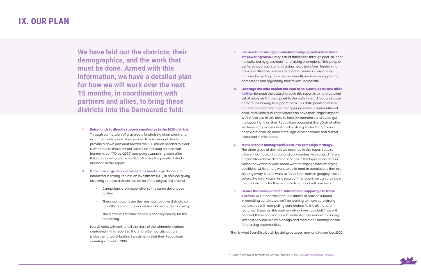

# **IX. OUR PLAN**

**We have laid out the districts, their demographics, and the work that must be done. Armed with this information, we have a detailed plan for how we will work over the next 15 months, in coordination with partners and allies, to bring these districts into the Democratic fold:**

- **1. Raise funds to directly support candidates in the 2020 districts.**  Through our network of grassroots fundraising champions and in concert with online allies, we aim to raise enough funds to provide a down payment toward the \$58 million needed to elect Democrats to these critical seats. Our first stop on that that journey is our "110-by-2020" campaign. Launching soon after this report, we hope to raise \$1.1 million for the priority districts identified in this report.
- **2. Galvanize large donors to meet this need.** Large donors are interested in strong Returns on Investment (ROI) in political giving. Investing in these districts has some of the largest ROI around :
	- Campaigns are inexpensive, so the same dollar goes farther.
	- These campaigns are the most competitive districts, so no dollar is spent on candidates who would "win anyway."
	- The states will remain the focus of policymaking for the time being.

 EveryDistrict will work to tell the story of the winnable districts contained in this report so that more Democratic donors make the forward-looking investments that their Republican counterparts did in 2010.

- **3. Use new fundraising approaches to engage activists in more empowering ways.** EveryDistrict fundraises through peer-to-peer networks led by grassroots "fundraising champions." This peoplecentered approach to fundraising helps transform fundraising from an extractive process to one that serves an organizing purpose by getting more people directly involved in supporting campaigns and organizing their fellow Democrats.
- **4. Leverage the data behind the data to help candidates and allies further.** Beneath the data shared in this report is a more detailed set of analyses that can point to the path forward for candidates and groups looking to support them. This data points to where outreach and organizing among young voters, communities of color, and white suburban voters can have their largest impact. We'll make use of this data to help Democratic candidates get the upper hand on their Republican opponent. EveryDistrict allies will have early access to state-by-state profiles that provide deep data dives on each state legislative chamber and district discussed in this report.
- **5. Translate this demographic data into campaign strategy.**  The three types of districts we describe in this report require different campaign tactics and approaches. Moreover, different organizations have different priorities in the types of districts in which they want to work. Some want to engage new emerging coalitions, while others want to build back in populations that are slipping away. Others want to focus in on certain geographies of voters, like rural voters. As a result of this report, we can provide a menu of districts for these groups to support with our help.
- **6. Ensure that candidate recruitment and support go to these districts.** As Democrats redouble efforts to provide support in recruiting candidates, we'll be working to make sure strong candidates with compelling connections to the district are recruited. Based on the partner network we have built<sup>26</sup> we will connect these candidates with early stage resources, including low cost services like web design and media and identity-based fundraising opportunities.

That is what EveryDistrict will be doing between now and November 2020.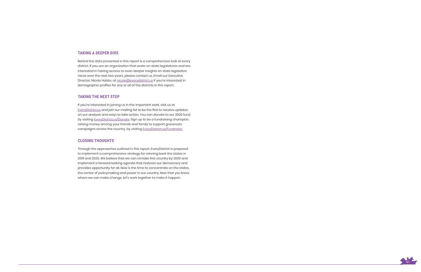

#### **TAKING A DEEPER DIVE**

Behind the data presented in this report is a comprehensive look at every district. If you are an organization that works on state legislatures and are interested in having access to even deeper insights on state legislative races over the next two years, please contact us. Email our Executive Director, Nicole Hobbs, at nicole@everydistrict.us if you're interested in demographic profiles for any or all of the districts in this report.

#### **TAKING THE NEXT STEP**

If you're interested in joining us in this important work, visit us at EveryDistrict.us and join our mailing list to be the first to receive updates on our analysis and ways to take action. You can donate to our 2020 fund by visiting EveryDistrict.us/Donate. Sign up to be a fundraising champion, raising money among your friends and family to support grassroots campaigns across the country, by visiting EveryDistrict.us/Fundraise.

#### **CLOSING THOUGHTS**

Through the approaches outlined in this report, EveryDistrict is prepared to implement a comprehensive strategy for winning back the states in 2019 and 2020. We believe that we can remake this country by 2020 and implement a forward looking agenda that restores our democracy and provides opportunity for all. Now is the time to concentrate on the states, the center of policymaking and power in our country. Now that you know where we can make change, let's work together to make it happen.